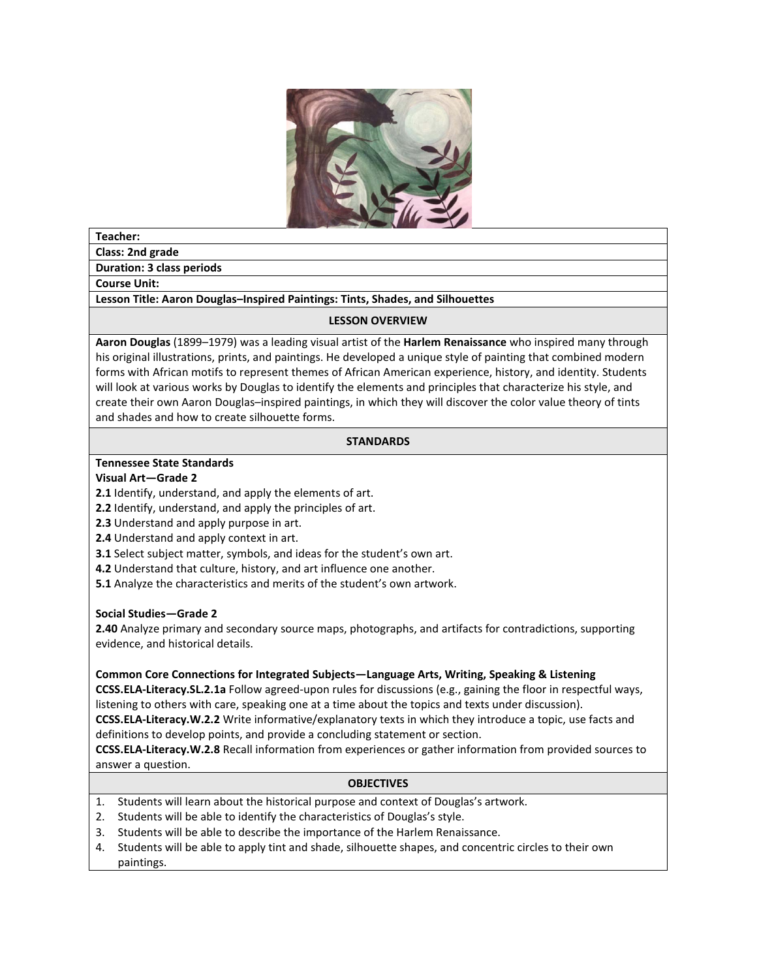

#### **Teacher:**

**Class: 2nd grade**

**Duration: 3 class periods**

**Course Unit:** 

**Lesson Title: Aaron Douglas–Inspired Paintings: Tints, Shades, and Silhouettes** 

#### **LESSON OVERVIEW**

**Aaron Douglas** (1899–1979) was a leading visual artist of the **Harlem Renaissance** who inspired many through his original illustrations, prints, and paintings. He developed a unique style of painting that combined modern forms with African motifs to represent themes of African American experience, history, and identity. Students will look at various works by Douglas to identify the elements and principles that characterize his style, and create their own Aaron Douglas–inspired paintings, in which they will discover the color value theory of tints and shades and how to create silhouette forms.

## **STANDARDS**

#### **Tennessee State Standards**

#### **Visual Art—Grade 2**

**2.1** Identify, understand, and apply the elements of art.

**2.2** Identify, understand, and apply the principles of art.

**2.3** Understand and apply purpose in art.

**2.4** Understand and apply context in art.

**3.1** Select subject matter, symbols, and ideas for the student's own art.

**4.2** Understand that culture, history, and art influence one another.

**5.1** Analyze the characteristics and merits of the student's own artwork.

## **Social Studies—Grade 2**

**2.40** Analyze primary and secondary source maps, photographs, and artifacts for contradictions, supporting evidence, and historical details.

#### **Common Core Connections for Integrated Subjects—Language Arts, Writing, Speaking & Listening**

**CCSS.ELA-Literacy.SL.2.1a** Follow agreed-upon rules for discussions (e.g., gaining the floor in respectful ways, listening to others with care, speaking one at a time about the topics and texts under discussion). **CCSS.ELA-Literacy.W.2.2** Write informative/explanatory texts in which they introduce a topic, use facts and

definitions to develop points, and provide a concluding statement or section.

**CCSS.ELA-Literacy.W.2.8** Recall information from experiences or gather information from provided sources to answer a question.

#### **OBJECTIVES**

- 1. Students will learn about the historical purpose and context of Douglas's artwork.
- 2. Students will be able to identify the characteristics of Douglas's style.
- 3. Students will be able to describe the importance of the Harlem Renaissance.
- 4. Students will be able to apply tint and shade, silhouette shapes, and concentric circles to their own paintings.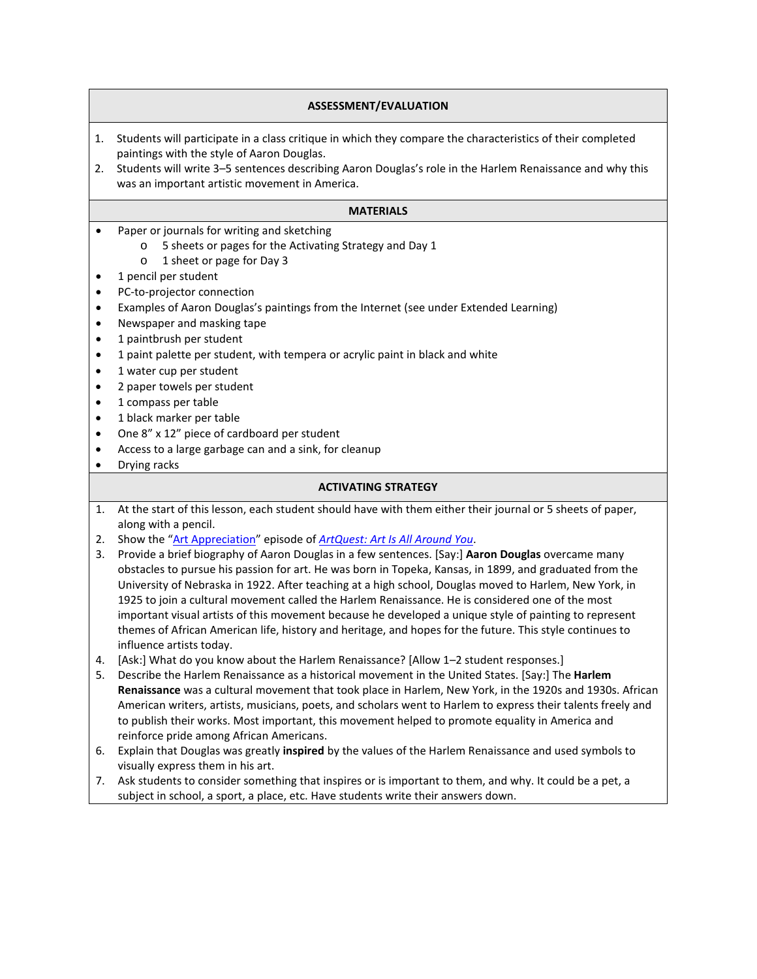# **ASSESSMENT/EVALUATION**

- 1. Students will participate in a class critique in which they compare the characteristics of their completed paintings with the style of Aaron Douglas.
- 2. Students will write 3–5 sentences describing Aaron Douglas's role in the Harlem Renaissance and why this was an important artistic movement in America.

#### **MATERIALS**

- Paper or journals for writing and sketching
	- o 5 sheets or pages for the Activating Strategy and Day 1
	- o 1 sheet or page for Day 3
- 1 pencil per student
- PC-to-projector connection
- Examples of Aaron Douglas's paintings from the Internet (see under Extended Learning)
- Newspaper and masking tape
- 1 paintbrush per student
- 1 paint palette per student, with tempera or acrylic paint in black and white
- 1 water cup per student
- 2 paper towels per student
- 1 compass per table
- 1 black marker per table
- One 8" x 12" piece of cardboard per student
- Access to a large garbage can and a sink, for cleanup
- Drying racks

#### **ACTIVATING STRATEGY**

- 1. At the start of this lesson, each student should have with them either their journal or 5 sheets of paper, along with a pencil.
- 2. Show the ["Art Appreciation"](http://fristkids.org/activities-videos#7125) episode of *[ArtQuest: Art Is All Around You](http://fristkids.org/activities-videos)*.
- 3. Provide a brief biography of Aaron Douglas in a few sentences. [Say:] **Aaron Douglas** overcame many obstacles to pursue his passion for art. He was born in Topeka, Kansas, in 1899, and graduated from the University of Nebraska in 1922. After teaching at a high school, Douglas moved to Harlem, New York, in 1925 to join a cultural movement called the Harlem Renaissance. He is considered one of the most important visual artists of this movement because he developed a unique style of painting to represent themes of African American life, history and heritage, and hopes for the future. This style continues to influence artists today.
- 4. [Ask:] What do you know about the Harlem Renaissance? [Allow 1–2 student responses.]
- 5. Describe the Harlem Renaissance as a historical movement in the United States. [Say:] The **Harlem Renaissance** was a cultural movement that took place in Harlem, New York, in the 1920s and 1930s. African American writers, artists, musicians, poets, and scholars went to Harlem to express their talents freely and to publish their works. Most important, this movement helped to promote equality in America and reinforce pride among African Americans.
- 6. Explain that Douglas was greatly **inspired** by the values of the Harlem Renaissance and used symbols to visually express them in his art.
- 7. Ask students to consider something that inspires or is important to them, and why. It could be a pet, a subject in school, a sport, a place, etc. Have students write their answers down.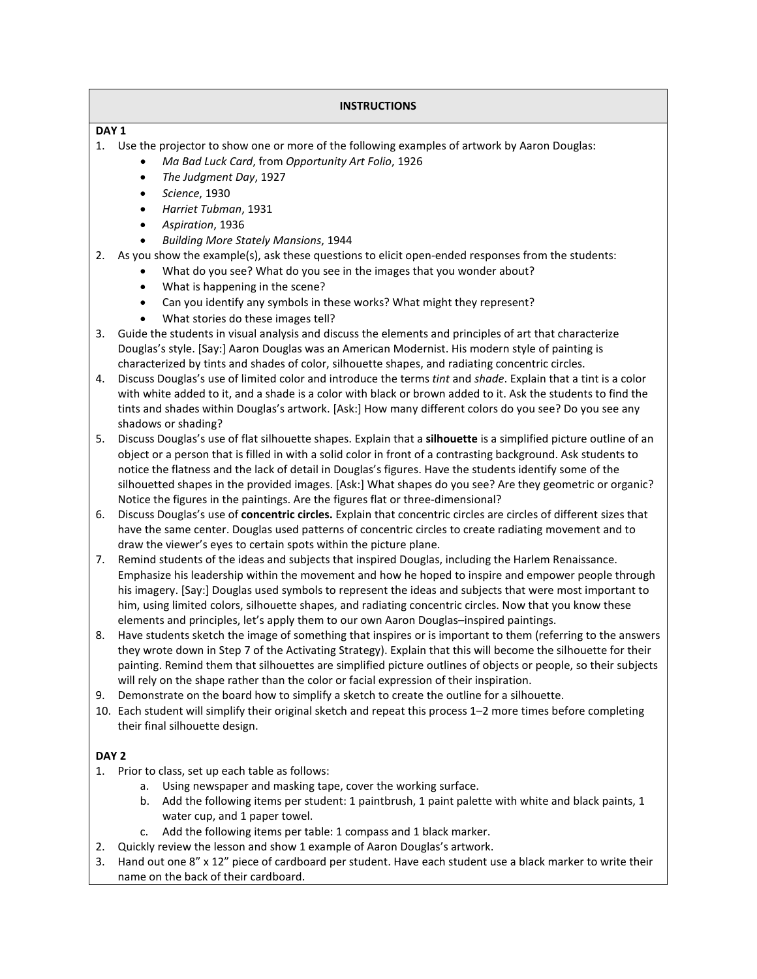# **INSTRUCTIONS**

## **DAY 1**

- 1. Use the projector to show one or more of the following examples of artwork by Aaron Douglas:
	- *Ma Bad Luck Card*, from *Opportunity Art Folio*, 1926
	- *The Judgment Day*, 1927
	- *Science*, 1930
	- *Harriet Tubman*, 1931
	- *Aspiration*, 1936
	- *Building More Stately Mansions*, 1944
- 2. As you show the example(s), ask these questions to elicit open-ended responses from the students:
	- What do you see? What do you see in the images that you wonder about?
	- What is happening in the scene?
	- Can you identify any symbols in these works? What might they represent?
	- What stories do these images tell?
- 3. Guide the students in visual analysis and discuss the elements and principles of art that characterize Douglas's style. [Say:] Aaron Douglas was an American Modernist. His modern style of painting is characterized by tints and shades of color, silhouette shapes, and radiating concentric circles.
- 4. Discuss Douglas's use of limited color and introduce the terms *tint* and *shade*. Explain that a tint is a color with white added to it, and a shade is a color with black or brown added to it. Ask the students to find the tints and shades within Douglas's artwork. [Ask:] How many different colors do you see? Do you see any shadows or shading?
- 5. Discuss Douglas's use of flat silhouette shapes. Explain that a **silhouette** is a simplified picture outline of an object or a person that is filled in with a solid color in front of a contrasting background. Ask students to notice the flatness and the lack of detail in Douglas's figures. Have the students identify some of the silhouetted shapes in the provided images. [Ask:] What shapes do you see? Are they geometric or organic? Notice the figures in the paintings. Are the figures flat or three-dimensional?
- 6. Discuss Douglas's use of **concentric circles.** Explain that concentric circles are circles of different sizes that have the same center. Douglas used patterns of concentric circles to create radiating movement and to draw the viewer's eyes to certain spots within the picture plane.
- 7. Remind students of the ideas and subjects that inspired Douglas, including the Harlem Renaissance. Emphasize his leadership within the movement and how he hoped to inspire and empower people through his imagery. [Say:] Douglas used symbols to represent the ideas and subjects that were most important to him, using limited colors, silhouette shapes, and radiating concentric circles. Now that you know these elements and principles, let's apply them to our own Aaron Douglas–inspired paintings.
- 8. Have students sketch the image of something that inspires or is important to them (referring to the answers they wrote down in Step 7 of the Activating Strategy). Explain that this will become the silhouette for their painting. Remind them that silhouettes are simplified picture outlines of objects or people, so their subjects will rely on the shape rather than the color or facial expression of their inspiration.
- 9. Demonstrate on the board how to simplify a sketch to create the outline for a silhouette.
- 10. Each student will simplify their original sketch and repeat this process 1–2 more times before completing their final silhouette design.

## **DAY 2**

- 1. Prior to class, set up each table as follows:
	- a. Using newspaper and masking tape, cover the working surface.
	- b. Add the following items per student: 1 paintbrush, 1 paint palette with white and black paints, 1 water cup, and 1 paper towel.
	- c. Add the following items per table: 1 compass and 1 black marker.
- 2. Quickly review the lesson and show 1 example of Aaron Douglas's artwork.
- 3. Hand out one 8" x 12" piece of cardboard per student. Have each student use a black marker to write their name on the back of their cardboard.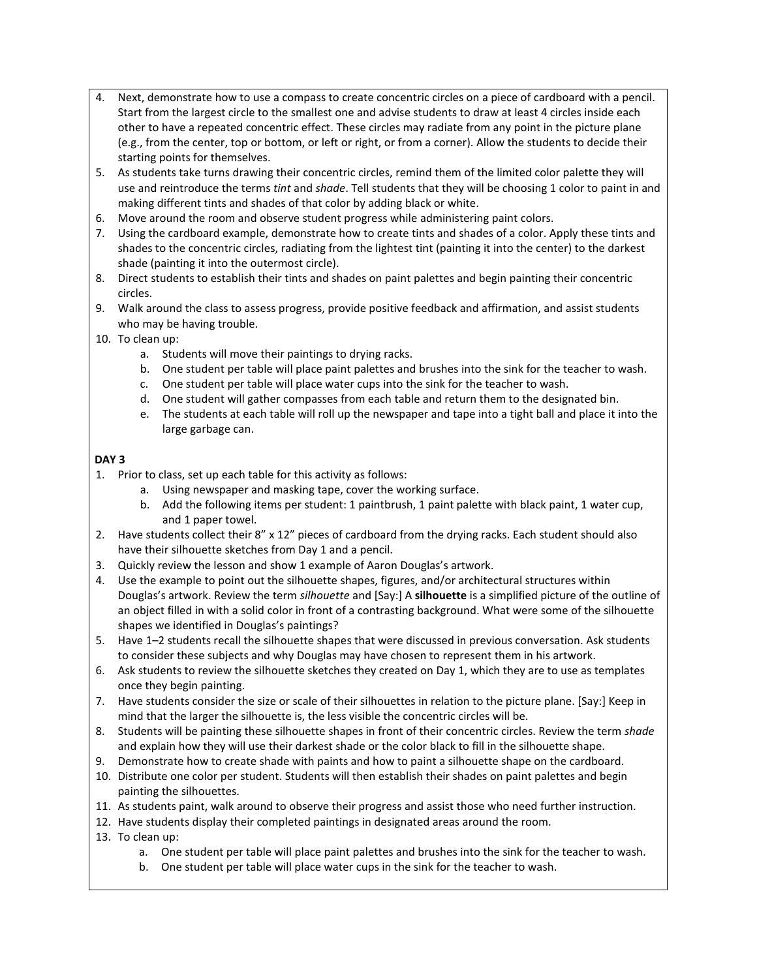- 4. Next, demonstrate how to use a compass to create concentric circles on a piece of cardboard with a pencil. Start from the largest circle to the smallest one and advise students to draw at least 4 circles inside each other to have a repeated concentric effect. These circles may radiate from any point in the picture plane (e.g., from the center, top or bottom, or left or right, or from a corner). Allow the students to decide their starting points for themselves.
- 5. As students take turns drawing their concentric circles, remind them of the limited color palette they will use and reintroduce the terms *tint* and *shade*. Tell students that they will be choosing 1 color to paint in and making different tints and shades of that color by adding black or white.
- 6. Move around the room and observe student progress while administering paint colors.
- 7. Using the cardboard example, demonstrate how to create tints and shades of a color. Apply these tints and shades to the concentric circles, radiating from the lightest tint (painting it into the center) to the darkest shade (painting it into the outermost circle).
- 8. Direct students to establish their tints and shades on paint palettes and begin painting their concentric circles.
- 9. Walk around the class to assess progress, provide positive feedback and affirmation, and assist students who may be having trouble.
- 10. To clean up:
	- a. Students will move their paintings to drying racks.
	- b. One student per table will place paint palettes and brushes into the sink for the teacher to wash.
	- c. One student per table will place water cups into the sink for the teacher to wash.
	- d. One student will gather compasses from each table and return them to the designated bin.
	- e. The students at each table will roll up the newspaper and tape into a tight ball and place it into the large garbage can.

# **DAY 3**

- 1. Prior to class, set up each table for this activity as follows:
	- a. Using newspaper and masking tape, cover the working surface.
	- b. Add the following items per student: 1 paintbrush, 1 paint palette with black paint, 1 water cup, and 1 paper towel.
- 2. Have students collect their 8" x 12" pieces of cardboard from the drying racks. Each student should also have their silhouette sketches from Day 1 and a pencil.
- 3. Quickly review the lesson and show 1 example of Aaron Douglas's artwork.
- 4. Use the example to point out the silhouette shapes, figures, and/or architectural structures within Douglas's artwork. Review the term *silhouette* and [Say:] A **silhouette** is a simplified picture of the outline of an object filled in with a solid color in front of a contrasting background. What were some of the silhouette shapes we identified in Douglas's paintings?
- 5. Have 1–2 students recall the silhouette shapes that were discussed in previous conversation. Ask students to consider these subjects and why Douglas may have chosen to represent them in his artwork.
- 6. Ask students to review the silhouette sketches they created on Day 1, which they are to use as templates once they begin painting.
- 7. Have students consider the size or scale of their silhouettes in relation to the picture plane. [Say:] Keep in mind that the larger the silhouette is, the less visible the concentric circles will be.
- 8. Students will be painting these silhouette shapes in front of their concentric circles. Review the term *shade* and explain how they will use their darkest shade or the color black to fill in the silhouette shape.
- 9. Demonstrate how to create shade with paints and how to paint a silhouette shape on the cardboard.
- 10. Distribute one color per student. Students will then establish their shades on paint palettes and begin painting the silhouettes.
- 11. As students paint, walk around to observe their progress and assist those who need further instruction.
- 12. Have students display their completed paintings in designated areas around the room.
- 13. To clean up:
	- a. One student per table will place paint palettes and brushes into the sink for the teacher to wash.
	- b. One student per table will place water cups in the sink for the teacher to wash.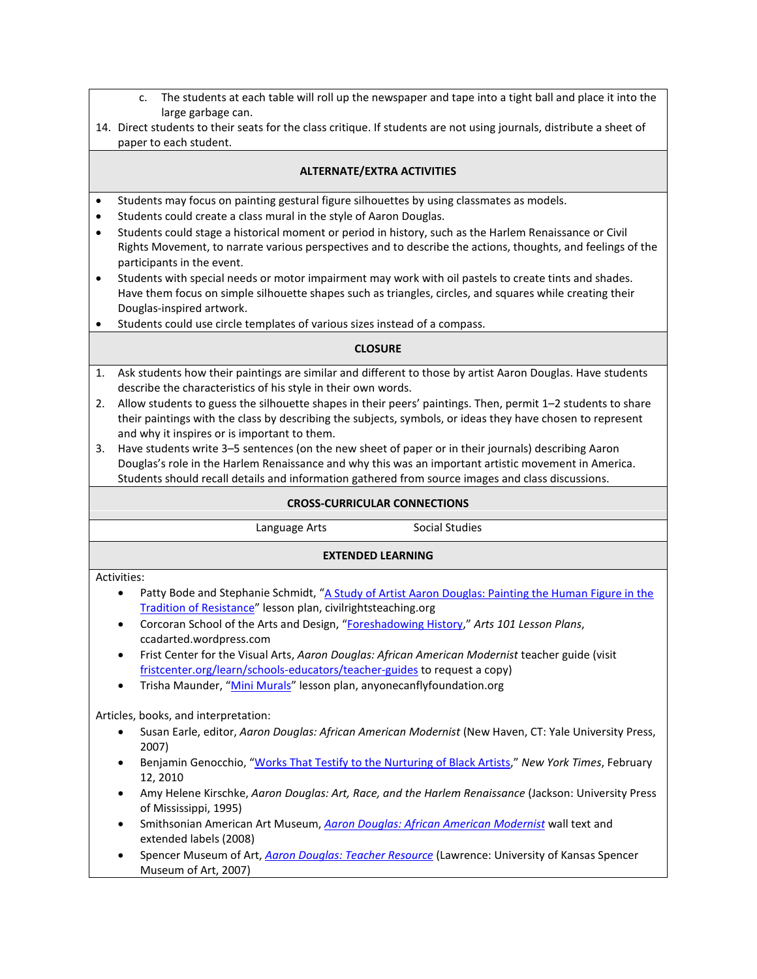- c. The students at each table will roll up the newspaper and tape into a tight ball and place it into the large garbage can.
- 14. Direct students to their seats for the class critique. If students are not using journals, distribute a sheet of paper to each student.

# **ALTERNATE/EXTRA ACTIVITIES**

- Students may focus on painting gestural figure silhouettes by using classmates as models.
- Students could create a class mural in the style of Aaron Douglas.
- Students could stage a historical moment or period in history, such as the Harlem Renaissance or Civil Rights Movement, to narrate various perspectives and to describe the actions, thoughts, and feelings of the participants in the event.
- Students with special needs or motor impairment may work with oil pastels to create tints and shades. Have them focus on simple silhouette shapes such as triangles, circles, and squares while creating their Douglas-inspired artwork.
- Students could use circle templates of various sizes instead of a compass.

## **CLOSURE**

- 1. Ask students how their paintings are similar and different to those by artist Aaron Douglas. Have students describe the characteristics of his style in their own words.
- 2. Allow students to guess the silhouette shapes in their peers' paintings. Then, permit 1–2 students to share their paintings with the class by describing the subjects, symbols, or ideas they have chosen to represent and why it inspires or is important to them.
- 3. Have students write 3–5 sentences (on the new sheet of paper or in their journals) describing Aaron Douglas's role in the Harlem Renaissance and why this was an important artistic movement in America. Students should recall details and information gathered from source images and class discussions.

| <b>CROSS-CURRICULAR CONNECTIONS</b>                                                                                                                                   |                                                                                                                                                                               |                       |
|-----------------------------------------------------------------------------------------------------------------------------------------------------------------------|-------------------------------------------------------------------------------------------------------------------------------------------------------------------------------|-----------------------|
|                                                                                                                                                                       | Language Arts                                                                                                                                                                 | <b>Social Studies</b> |
| <b>EXTENDED LEARNING</b>                                                                                                                                              |                                                                                                                                                                               |                       |
| Activities:<br>$\bullet$                                                                                                                                              |                                                                                                                                                                               |                       |
| Patty Bode and Stephanie Schmidt, "A Study of Artist Aaron Douglas: Painting the Human Figure in the<br>Tradition of Resistance" lesson plan, civilrightsteaching.org |                                                                                                                                                                               |                       |
| Corcoran School of the Arts and Design, "Foreshadowing History," Arts 101 Lesson Plans,<br>$\bullet$<br>ccadarted.wordpress.com                                       |                                                                                                                                                                               |                       |
| ٠                                                                                                                                                                     | Frist Center for the Visual Arts, Aaron Douglas: African American Modernist teacher guide (visit<br>fristcenter.org/learn/schools-educators/teacher-guides to request a copy) |                       |
| ٠                                                                                                                                                                     | Trisha Maunder, "Mini Murals" lesson plan, anyonecanflyfoundation.org                                                                                                         |                       |
| Articles, books, and interpretation:                                                                                                                                  |                                                                                                                                                                               |                       |
|                                                                                                                                                                       | Susan Earle, editor, Aaron Douglas: African American Modernist (New Haven, CT: Yale University Press,<br>2007)                                                                |                       |
| ٠                                                                                                                                                                     | Benjamin Genocchio, "Works That Testify to the Nurturing of Black Artists," New York Times, February<br>12, 2010                                                              |                       |
| ٠                                                                                                                                                                     | Amy Helene Kirschke, Aaron Douglas: Art, Race, and the Harlem Renaissance (Jackson: University Press<br>of Mississippi, 1995)                                                 |                       |
| ٠                                                                                                                                                                     | Smithsonian American Art Museum, <i>Agron Douglas: African American Modernist</i> wall text and<br>extended labels (2008)                                                     |                       |
|                                                                                                                                                                       | Spencer Museum of Art Agron Douglas: Teacher Resource (Lawrence: University of Kansas Spencer                                                                                 |                       |

<mark>rce</mark> (Lawrence: University of Kansas Museum of Art, 2007)